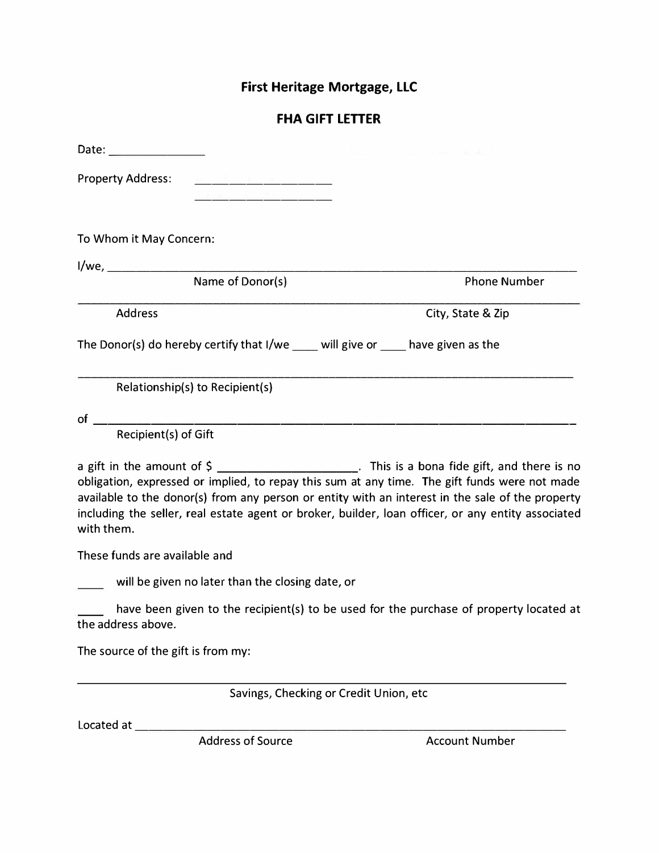## **First Heritage Mortgage, LLC**

## **FHA GIFT LETTER**

| Date: <u>Date: Electronic Property</u>                                  |                                                  |                                                                                                                                                                                                                                                                                                                                                                                                              |
|-------------------------------------------------------------------------|--------------------------------------------------|--------------------------------------------------------------------------------------------------------------------------------------------------------------------------------------------------------------------------------------------------------------------------------------------------------------------------------------------------------------------------------------------------------------|
| <b>Property Address:</b>                                                |                                                  |                                                                                                                                                                                                                                                                                                                                                                                                              |
| To Whom it May Concern:                                                 |                                                  |                                                                                                                                                                                                                                                                                                                                                                                                              |
|                                                                         |                                                  |                                                                                                                                                                                                                                                                                                                                                                                                              |
|                                                                         | Name of Donor(s)                                 | <b>Phone Number</b>                                                                                                                                                                                                                                                                                                                                                                                          |
| <b>Address</b>                                                          |                                                  | City, State & Zip                                                                                                                                                                                                                                                                                                                                                                                            |
| The Donor(s) do hereby certify that I/we will give or have given as the |                                                  |                                                                                                                                                                                                                                                                                                                                                                                                              |
| Relationship(s) to Recipient(s)                                         |                                                  |                                                                                                                                                                                                                                                                                                                                                                                                              |
| $of$ $\qquad$                                                           |                                                  |                                                                                                                                                                                                                                                                                                                                                                                                              |
| Recipient(s) of Gift                                                    |                                                  |                                                                                                                                                                                                                                                                                                                                                                                                              |
| with them.                                                              |                                                  | a gift in the amount of $\zeta$ ______________________. This is a bona fide gift, and there is no<br>obligation, expressed or implied, to repay this sum at any time. The gift funds were not made<br>available to the donor(s) from any person or entity with an interest in the sale of the property<br>including the seller, real estate agent or broker, builder, loan officer, or any entity associated |
| These funds are available and                                           |                                                  |                                                                                                                                                                                                                                                                                                                                                                                                              |
|                                                                         | will be given no later than the closing date, or |                                                                                                                                                                                                                                                                                                                                                                                                              |

have been given to the recipient(s) to be used for the purchase of property located at the address above.

The source of the gift is from my:

Savings, Checking or Credit Union, etc

Located at ------------------------------ Address of Source